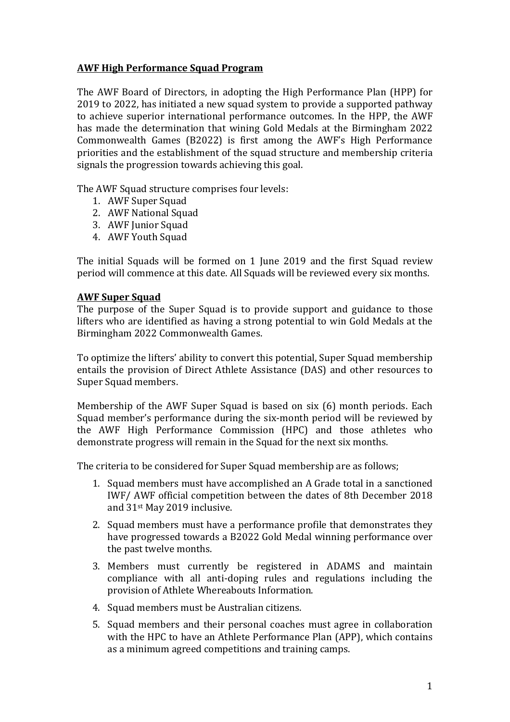# **AWF High Performance Squad Program**

The AWF Board of Directors, in adopting the High Performance Plan (HPP) for 2019 to 2022, has initiated a new squad system to provide a supported pathway to achieve superior international performance outcomes. In the HPP, the AWF has made the determination that wining Gold Medals at the Birmingham 2022 Commonwealth Games (B2022) is first among the AWF's High Performance priorities and the establishment of the squad structure and membership criteria signals the progression towards achieving this goal.

The AWF Squad structure comprises four levels:

- 1. AWF Super Squad
- 2. AWF National Squad
- 3. AWF Junior Squad
- 4. AWF Youth Squad

The initial Squads will be formed on 1 June 2019 and the first Squad review period will commence at this date. All Squads will be reviewed every six months.

#### **AWF Super Squad**

The purpose of the Super Squad is to provide support and guidance to those lifters who are identified as having a strong potential to win Gold Medals at the Birmingham 2022 Commonwealth Games.

To optimize the lifters' ability to convert this potential, Super Squad membership entails the provision of Direct Athlete Assistance (DAS) and other resources to Super Squad members.

Membership of the AWF Super Squad is based on six (6) month periods. Each Squad member's performance during the six-month period will be reviewed by the AWF High Performance Commission (HPC) and those athletes who demonstrate progress will remain in the Squad for the next six months.

The criteria to be considered for Super Squad membership are as follows;

- 1. Squad members must have accomplished an A Grade total in a sanctioned IWF/ AWF official competition between the dates of 8th December 2018 and 31st May 2019 inclusive.
- 2. Squad members must have a performance profile that demonstrates they have progressed towards a B2022 Gold Medal winning performance over the past twelve months.
- 3. Members must currently be registered in ADAMS and maintain compliance with all anti-doping rules and regulations including the provision of Athlete Whereabouts Information.
- 4. Squad members must be Australian citizens.
- 5. Squad members and their personal coaches must agree in collaboration with the HPC to have an Athlete Performance Plan (APP), which contains as a minimum agreed competitions and training camps.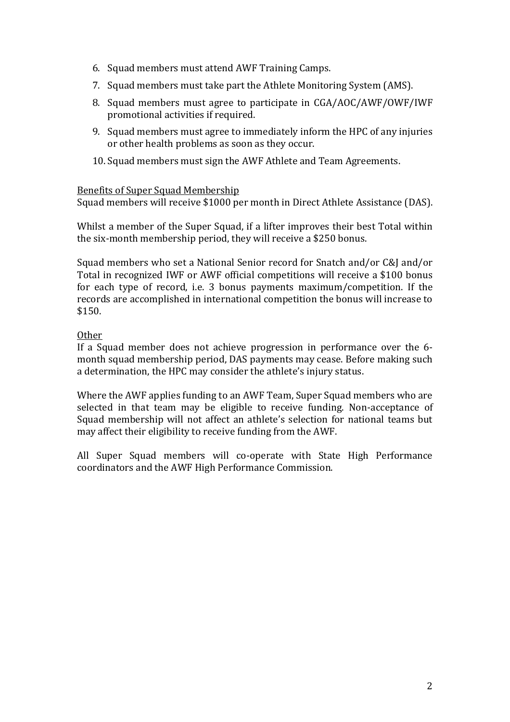- 6. Squad members must attend AWF Training Camps.
- 7. Squad members must take part the Athlete Monitoring System (AMS).
- 8. Squad members must agree to participate in CGA/AOC/AWF/OWF/IWF promotional activities if required.
- 9. Squad members must agree to immediately inform the HPC of any injuries or other health problems as soon as they occur.
- 10.Squad members must sign the AWF Athlete and Team Agreements.

### Benefits of Super Squad Membership

Squad members will receive \$1000 per month in Direct Athlete Assistance (DAS).

Whilst a member of the Super Squad, if a lifter improves their best Total within the six-month membership period, they will receive a \$250 bonus.

Squad members who set a National Senior record for Snatch and/or C&J and/or Total in recognized IWF or AWF official competitions will receive a \$100 bonus for each type of record, i.e. 3 bonus payments maximum/competition. If the records are accomplished in international competition the bonus will increase to \$150.

# Other

If a Squad member does not achieve progression in performance over the 6 month squad membership period, DAS payments may cease. Before making such a determination, the HPC may consider the athlete's injury status.

Where the AWF applies funding to an AWF Team, Super Squad members who are selected in that team may be eligible to receive funding. Non-acceptance of Squad membership will not affect an athlete's selection for national teams but may affect their eligibility to receive funding from the AWF.

All Super Squad members will co-operate with State High Performance coordinators and the AWF High Performance Commission.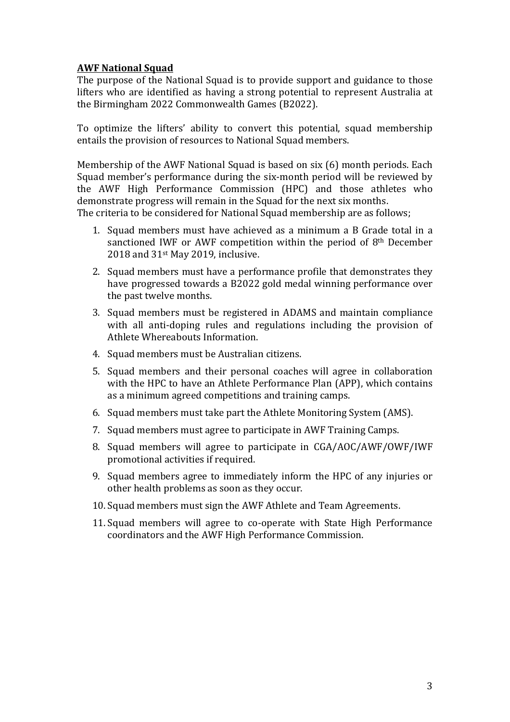# **AWF National Squad**

The purpose of the National Squad is to provide support and guidance to those lifters who are identified as having a strong potential to represent Australia at the Birmingham 2022 Commonwealth Games (B2022).

To optimize the lifters' ability to convert this potential, squad membership entails the provision of resources to National Squad members.

Membership of the AWF National Squad is based on six (6) month periods. Each Squad member's performance during the six-month period will be reviewed by the AWF High Performance Commission (HPC) and those athletes who demonstrate progress will remain in the Squad for the next six months. The criteria to be considered for National Squad membership are as follows;

- 1. Squad members must have achieved as a minimum a B Grade total in a sanctioned IWF or AWF competition within the period of 8th December 2018 and 31st May 2019, inclusive.
- 2. Squad members must have a performance profile that demonstrates they have progressed towards a B2022 gold medal winning performance over the past twelve months.
- 3. Squad members must be registered in ADAMS and maintain compliance with all anti-doping rules and regulations including the provision of Athlete Whereabouts Information.
- 4. Squad members must be Australian citizens.
- 5. Squad members and their personal coaches will agree in collaboration with the HPC to have an Athlete Performance Plan (APP), which contains as a minimum agreed competitions and training camps.
- 6. Squad members must take part the Athlete Monitoring System (AMS).
- 7. Squad members must agree to participate in AWF Training Camps.
- 8. Squad members will agree to participate in CGA/AOC/AWF/OWF/IWF promotional activities if required.
- 9. Squad members agree to immediately inform the HPC of any injuries or other health problems as soon as they occur.
- 10.Squad members must sign the AWF Athlete and Team Agreements.
- 11.Squad members will agree to co-operate with State High Performance coordinators and the AWF High Performance Commission.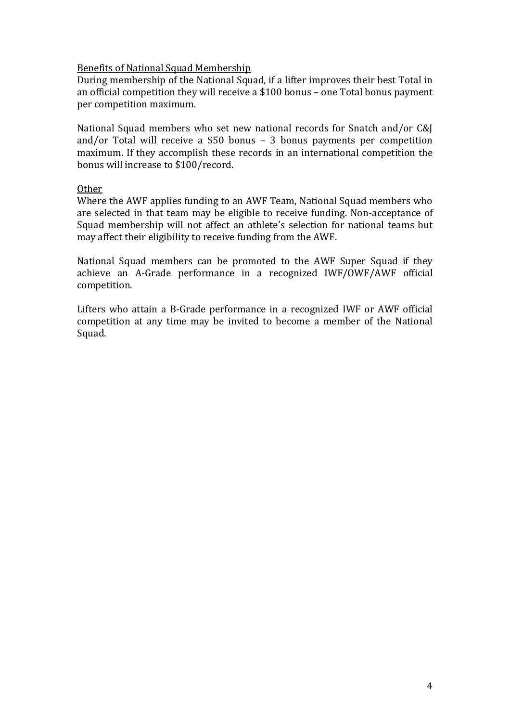### Benefits of National Squad Membership

During membership of the National Squad, if a lifter improves their best Total in an official competition they will receive a \$100 bonus – one Total bonus payment per competition maximum.

National Squad members who set new national records for Snatch and/or C&J and/or Total will receive a \$50 bonus – 3 bonus payments per competition maximum. If they accomplish these records in an international competition the bonus will increase to \$100/record.

#### Other

Where the AWF applies funding to an AWF Team, National Squad members who are selected in that team may be eligible to receive funding. Non-acceptance of Squad membership will not affect an athlete's selection for national teams but may affect their eligibility to receive funding from the AWF.

National Squad members can be promoted to the AWF Super Squad if they achieve an A-Grade performance in a recognized IWF/OWF/AWF official competition.

Lifters who attain a B-Grade performance in a recognized IWF or AWF official competition at any time may be invited to become a member of the National Squad.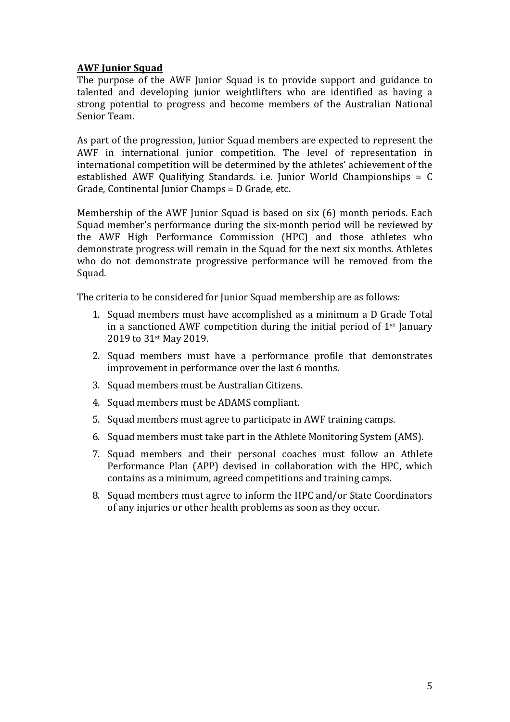# **AWF Junior Squad**

The purpose of the AWF Junior Squad is to provide support and guidance to talented and developing junior weightlifters who are identified as having a strong potential to progress and become members of the Australian National Senior Team.

As part of the progression, Junior Squad members are expected to represent the AWF in international junior competition. The level of representation in international competition will be determined by the athletes' achievement of the established AWF Qualifying Standards. i.e. Junior World Championships = C Grade, Continental Junior Champs = D Grade, etc.

Membership of the AWF Junior Squad is based on six (6) month periods. Each Squad member's performance during the six-month period will be reviewed by the AWF High Performance Commission (HPC) and those athletes who demonstrate progress will remain in the Squad for the next six months. Athletes who do not demonstrate progressive performance will be removed from the Squad.

The criteria to be considered for Junior Squad membership are as follows:

- 1. Squad members must have accomplished as a minimum a D Grade Total in a sanctioned AWF competition during the initial period of  $1<sup>st</sup>$  January 2019 to 31st May 2019.
- 2. Squad members must have a performance profile that demonstrates improvement in performance over the last 6 months.
- 3. Squad members must be Australian Citizens.
- 4. Squad members must be ADAMS compliant.
- 5. Squad members must agree to participate in AWF training camps.
- 6. Squad members must take part in the Athlete Monitoring System (AMS).
- 7. Squad members and their personal coaches must follow an Athlete Performance Plan (APP) devised in collaboration with the HPC, which contains as a minimum, agreed competitions and training camps.
- 8. Squad members must agree to inform the HPC and/or State Coordinators of any injuries or other health problems as soon as they occur.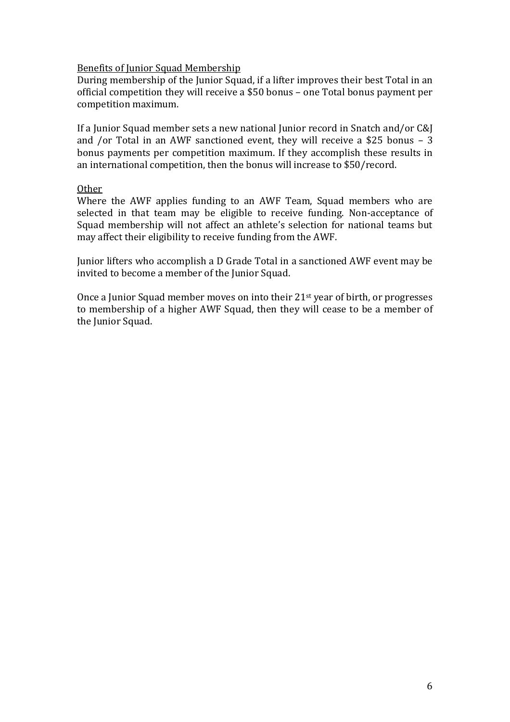### Benefits of Junior Squad Membership

During membership of the Junior Squad, if a lifter improves their best Total in an official competition they will receive a \$50 bonus – one Total bonus payment per competition maximum.

If a Junior Squad member sets a new national Junior record in Snatch and/or C&J and /or Total in an AWF sanctioned event, they will receive a \$25 bonus – 3 bonus payments per competition maximum. If they accomplish these results in an international competition, then the bonus will increase to \$50/record.

#### Other

Where the AWF applies funding to an AWF Team, Squad members who are selected in that team may be eligible to receive funding. Non-acceptance of Squad membership will not affect an athlete's selection for national teams but may affect their eligibility to receive funding from the AWF.

Junior lifters who accomplish a D Grade Total in a sanctioned AWF event may be invited to become a member of the Junior Squad.

Once a Junior Squad member moves on into their 21st year of birth, or progresses to membership of a higher AWF Squad, then they will cease to be a member of the Junior Squad.